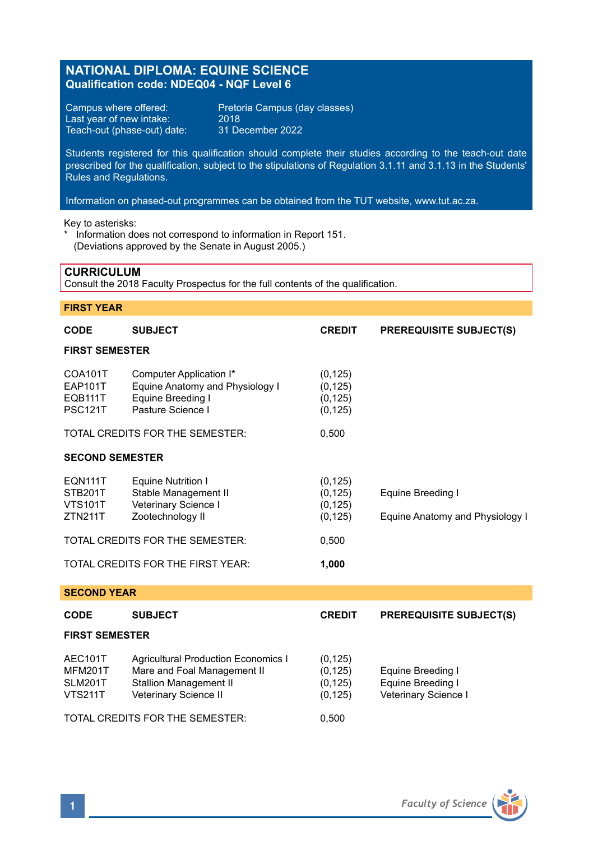# **NATIONAL DIPLOMA: EQUINE SCIENCE Qualification code: NDEQ04 - NQF Level 6**

Last year of new intake: 2018<br>Teach-out (phase-out) date: 31 December 2022 Teach-out (phase-out) date:

Campus where offered: Pretoria Campus (day classes)<br>Last year of new intake: 2018

Students registered for this qualification should complete their studies according to the teach-out date prescribed for the qualification, subject to the stipulations of Regulation 3.1.11 and 3.1.13 in the Students' Rules and Regulations.

Information on phased-out programmes can be obtained from the TUT website, www.tut.ac.za.

Key to asterisks:

\* Information does not correspond to information in Report 151. (Deviations approved by the Senate in August 2005.)

# **CURRICULUM**

Consult the 2018 Faculty Prospectus for the full contents of the qualification.

# **FIRST YEAR**

| <b>CODE</b>                                            | <b>SUBJECT</b>                                                                                                                      | <b>CREDIT</b>                                         | <b>PREREQUISITE SUBJECT(S)</b>                                 |  |  |  |  |
|--------------------------------------------------------|-------------------------------------------------------------------------------------------------------------------------------------|-------------------------------------------------------|----------------------------------------------------------------|--|--|--|--|
| <b>FIRST SEMESTER</b>                                  |                                                                                                                                     |                                                       |                                                                |  |  |  |  |
| COA101T<br><b>EAP101T</b><br>EQB111T<br><b>PSC121T</b> | Computer Application I*<br>Equine Anatomy and Physiology I<br>Equine Breeding I<br>Pasture Science I                                | (0, 125)<br>(0, 125)<br>(0, 125)<br>(0, 125)          |                                                                |  |  |  |  |
| TOTAL CREDITS FOR THE SEMESTER:                        |                                                                                                                                     | 0,500                                                 |                                                                |  |  |  |  |
| <b>SECOND SEMESTER</b>                                 |                                                                                                                                     |                                                       |                                                                |  |  |  |  |
| EQN111T<br>STB201T<br><b>VTS101T</b><br><b>ZTN211T</b> | <b>Equine Nutrition I</b><br>Stable Management II<br>Veterinary Science I<br>Zootechnology II<br>TOTAL CREDITS FOR THE SEMESTER:    | (0, 125)<br>(0, 125)<br>(0, 125)<br>(0, 125)<br>0,500 | Equine Breeding I<br>Equine Anatomy and Physiology I           |  |  |  |  |
|                                                        |                                                                                                                                     |                                                       |                                                                |  |  |  |  |
| TOTAL CREDITS FOR THE FIRST YEAR:<br>1,000             |                                                                                                                                     |                                                       |                                                                |  |  |  |  |
| <b>SECOND YEAR</b>                                     |                                                                                                                                     |                                                       |                                                                |  |  |  |  |
| <b>CODE</b>                                            | <b>SUBJECT</b>                                                                                                                      | <b>CREDIT</b>                                         | <b>PREREQUISITE SUBJECT(S)</b>                                 |  |  |  |  |
| <b>FIRST SEMESTER</b>                                  |                                                                                                                                     |                                                       |                                                                |  |  |  |  |
| AEC101T<br>MFM201T<br><b>SLM201T</b><br><b>VTS211T</b> | <b>Agricultural Production Economics I</b><br>Mare and Foal Management II<br><b>Stallion Management II</b><br>Veterinary Science II | (0, 125)<br>(0, 125)<br>(0, 125)<br>(0, 125)          | Equine Breeding I<br>Equine Breeding I<br>Veterinary Science I |  |  |  |  |
|                                                        | TOTAL CREDITS FOR THE SEMESTER:                                                                                                     | 0,500                                                 |                                                                |  |  |  |  |

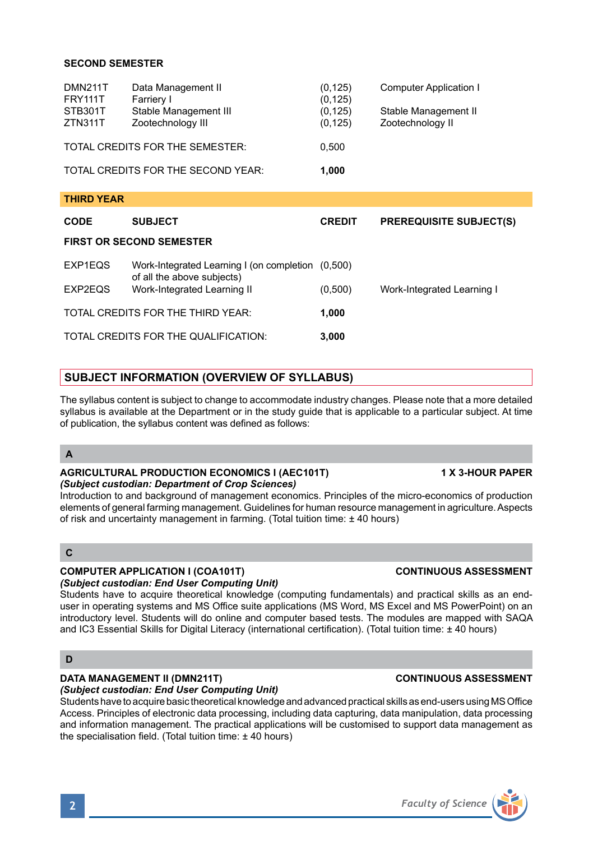# **SECOND SEMESTER**

| <b>DMN211T</b>                     | Data Management II    | (0, 125) | Computer Application I |
|------------------------------------|-----------------------|----------|------------------------|
| <b>FRY111T</b>                     | Farriery I            | (0, 125) |                        |
| STB301T                            | Stable Management III | (0, 125) | Stable Management II   |
| ZTN311T                            | Zootechnology III     | (0, 125) | Zootechnology II       |
| TOTAL CREDITS FOR THE SEMESTER:    |                       | 0.500    |                        |
| TOTAL CREDITS FOR THE SECOND YEAR: |                       | 1.000    |                        |

| <b>THIRD YEAR</b>                 |                                                                                 |               |                                |  |  |  |  |
|-----------------------------------|---------------------------------------------------------------------------------|---------------|--------------------------------|--|--|--|--|
| <b>CODE</b>                       | <b>SUBJECT</b>                                                                  | <b>CREDIT</b> | <b>PREREQUISITE SUBJECT(S)</b> |  |  |  |  |
| <b>FIRST OR SECOND SEMESTER</b>   |                                                                                 |               |                                |  |  |  |  |
| EXP1EQS                           | Work-Integrated Learning I (on completion (0,500)<br>of all the above subjects) |               |                                |  |  |  |  |
| EXP2EQS                           | Work-Integrated Learning II                                                     | (0,500)       | Work-Integrated Learning I     |  |  |  |  |
| TOTAL CREDITS FOR THE THIRD YEAR: |                                                                                 | 1,000         |                                |  |  |  |  |
|                                   | TOTAL CREDITS FOR THE QUALIFICATION:                                            | 3,000         |                                |  |  |  |  |
|                                   |                                                                                 |               |                                |  |  |  |  |

# **SUBJECT INFORMATION (OVERVIEW OF SYLLABUS)**

The syllabus content is subject to change to accommodate industry changes. Please note that a more detailed syllabus is available at the Department or in the study guide that is applicable to a particular subject. At time of publication, the syllabus content was defined as follows:

# **A**

### **AGRICULTURAL PRODUCTION ECONOMICS I (AEC101T) 1 X 3-HOUR PAPER** *(Subject custodian: Department of Crop Sciences)*

Introduction to and background of management economics. Principles of the micro-economics of production elements of general farming management. Guidelines for human resource management in agriculture. Aspects of risk and uncertainty management in farming. (Total tuition time: ± 40 hours)

### **C**

# **COMPUTER APPLICATION I (COA101T) CONTINUOUS ASSESSMENT**

*(Subject custodian: End User Computing Unit)* Students have to acquire theoretical knowledge (computing fundamentals) and practical skills as an end-

user in operating systems and MS Office suite applications (MS Word, MS Excel and MS PowerPoint) on an introductory level. Students will do online and computer based tests. The modules are mapped with SAQA and IC3 Essential Skills for Digital Literacy (international certification). (Total tuition time: ± 40 hours)

### **D**

# **DATA MANAGEMENT II (DMN211T) CONTINUOUS ASSESSMENT**

*(Subject custodian: End User Computing Unit)* Students have to acquire basic theoretical knowledge and advanced practical skills as end-users using MS Office Access. Principles of electronic data processing, including data capturing, data manipulation, data processing and information management. The practical applications will be customised to support data management as the specialisation field. (Total tuition time: ± 40 hours)

# **2** *Faculty of Science*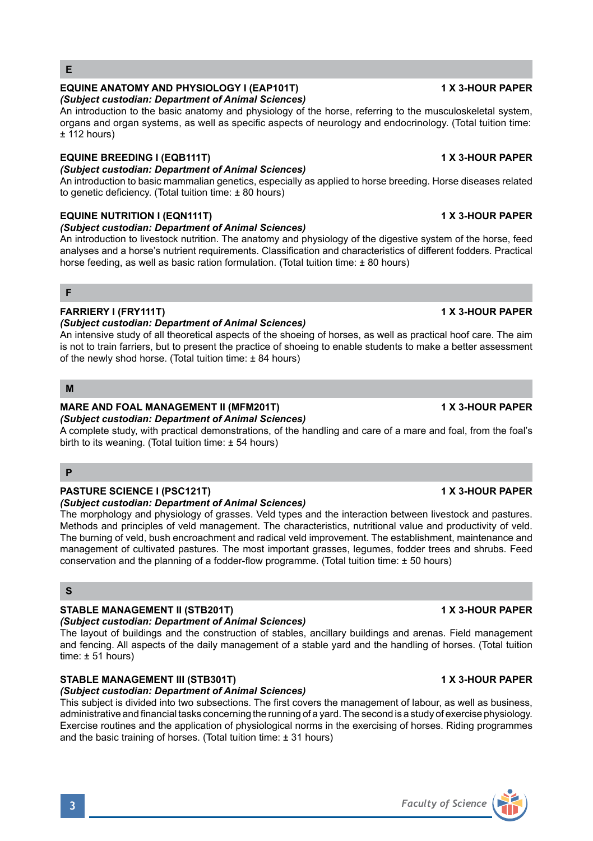#### analyses and a horse's nutrient requirements. Classification and characteristics of different fodders. Practical horse feeding, as well as basic ration formulation. (Total tuition time:  $\pm 80$  hours)

# **FARRIERY I (FRY111T) 1 X 3-HOUR PAPER**

# *(Subject custodian: Department of Animal Sciences)*

*(Subject custodian: Department of Animal Sciences)*

*(Subject custodian: Department of Animal Sciences)*

*(Subject custodian: Department of Animal Sciences)*

to genetic deficiency. (Total tuition time: ± 80 hours)

An intensive study of all theoretical aspects of the shoeing of horses, as well as practical hoof care. The aim is not to train farriers, but to present the practice of shoeing to enable students to make a better assessment of the newly shod horse. (Total tuition time: ± 84 hours)

An introduction to the basic anatomy and physiology of the horse, referring to the musculoskeletal system, organs and organ systems, as well as specific aspects of neurology and endocrinology. (Total tuition time:

An introduction to basic mammalian genetics, especially as applied to horse breeding. Horse diseases related

An introduction to livestock nutrition. The anatomy and physiology of the digestive system of the horse, feed

**M**

**F**

**E**

 $±$  112 hours)

#### **MARE AND FOAL MANAGEMENT II (MFM201T) 1 X 3-HOUR PAPER** *(Subject custodian: Department of Animal Sciences)*

A complete study, with practical demonstrations, of the handling and care of a mare and foal, from the foal's birth to its weaning. (Total tuition time: ± 54 hours)

# **P**

# **PASTURE SCIENCE I (PSC121T) 1 X 3-HOUR PAPER**

# *(Subject custodian: Department of Animal Sciences)*

The morphology and physiology of grasses. Veld types and the interaction between livestock and pastures. Methods and principles of veld management. The characteristics, nutritional value and productivity of veld. The burning of veld, bush encroachment and radical veld improvement. The establishment, maintenance and management of cultivated pastures. The most important grasses, legumes, fodder trees and shrubs. Feed conservation and the planning of a fodder-flow programme. (Total tuition time: ± 50 hours)

### **S**

# **STABLE MANAGEMENT II (STB201T) 1 X 3-HOUR PAPER**

# *(Subject custodian: Department of Animal Sciences)*

The layout of buildings and the construction of stables, ancillary buildings and arenas. Field management and fencing. All aspects of the daily management of a stable yard and the handling of horses. (Total tuition time:  $\pm$  51 hours)

# **STABLE MANAGEMENT III (STB301T) 1 X 3-HOUR PAPER**

### *(Subject custodian: Department of Animal Sciences)*

This subject is divided into two subsections. The first covers the management of labour, as well as business, administrative and financial tasks concerning the running of a yard. The second is a study of exercise physiology. Exercise routines and the application of physiological norms in the exercising of horses. Riding programmes and the basic training of horses. (Total tuition time: ± 31 hours)

### **EQUINE ANATOMY AND PHYSIOLOGY I (EAP101T) 1 X 3-HOUR PAPER**

# **EQUINE BREEDING I (EQB111T) 1 X 3-HOUR PAPER**



# **EQUINE NUTRITION I (EQN111T) 1 X 3-HOUR PAPER**